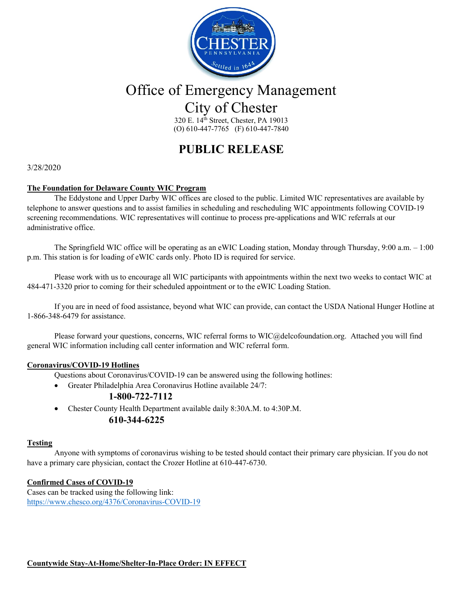

# Office of Emergency Management City of Chester

320 E. 14th Street, Chester, PA 19013 (O) 610-447-7765 (F) 610-447-7840

### **PUBLIC RELEASE**

#### 3/28/2020

#### **The Foundation for Delaware County WIC Program**

The Eddystone and Upper Darby WIC offices are closed to the public. Limited WIC representatives are available by telephone to answer questions and to assist families in scheduling and rescheduling WIC appointments following COVID-19 screening recommendations. WIC representatives will continue to process pre-applications and WIC referrals at our administrative office.

The Springfield WIC office will be operating as an eWIC Loading station, Monday through Thursday, 9:00 a.m. – 1:00 p.m. This station is for loading of eWIC cards only. Photo ID is required for service.

Please work with us to encourage all WIC participants with appointments within the next two weeks to contact WIC at 484-471-3320 prior to coming for their scheduled appointment or to the eWIC Loading Station.

If you are in need of food assistance, beyond what WIC can provide, can contact the USDA National Hunger Hotline at 1-866-348-6479 for assistance.

Please forward your questions, concerns, WIC referral forms to WIC@delcofoundation.org. Attached you will find general WIC information including call center information and WIC referral form.

#### **Coronavirus/COVID-19 Hotlines**

Questions about Coronavirus/COVID-19 can be answered using the following hotlines:

- Greater Philadelphia Area Coronavirus Hotline available 24/7:
	- **1-800-722-7112**
- Chester County Health Department available daily 8:30A.M. to 4:30P.M.

#### **610-344-6225**

#### **Testing**

Anyone with symptoms of coronavirus wishing to be tested should contact their primary care physician. If you do not have a primary care physician, contact the Crozer Hotline at 610-447-6730.

#### **Confirmed Cases of COVID-19**

Cases can be tracked using the following link: https://www.chesco.org/4376/Coronavirus-COVID-19

**Countywide Stay-At-Home/Shelter-In-Place Order: IN EFFECT**